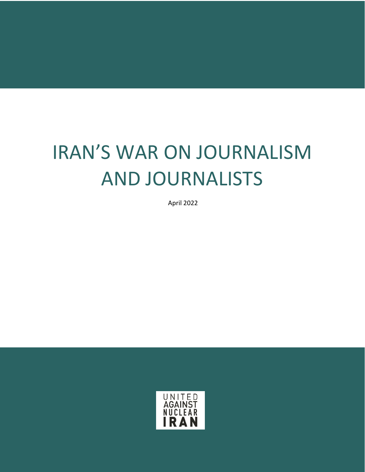# IRAN'S WAR ON JOURNALISM AND JOURNALISTS

April 2022

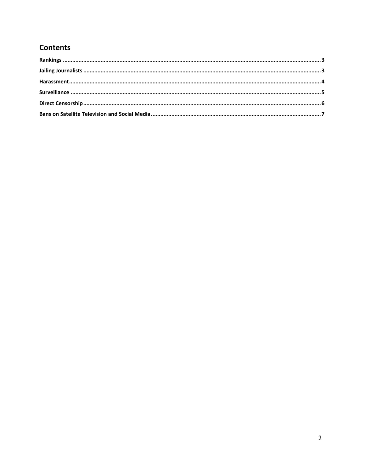# **Contents**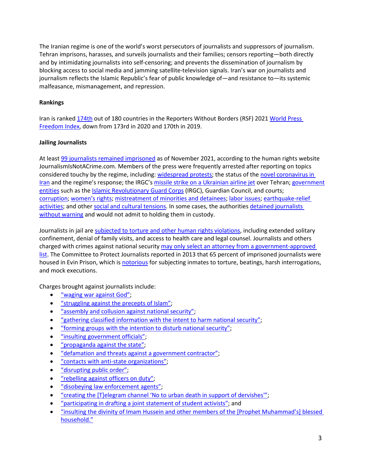The Iranian regime is one of the world's worst persecutors of journalists and suppressors of journalism. Tehran imprisons, harasses, and surveils journalists and their families; censors reporting—both directly and by intimidating journalists into self-censoring; and prevents the dissemination of journalism by blocking access to social media and jamming satellite-television signals. Iran's war on journalists and journalism reflects the Islamic Republic's fear of public knowledge of—and resistance to—its systemic malfeasance, mismanagement, and repression.

## <span id="page-2-0"></span>**Rankings**

Iran is ranked [174th](https://rsf.org/en/iran) out of 180 countries in the Reporters Without Borders (RSF) 2021 [World Press](https://rsf.org/en/ranking)  [Freedom Index,](https://rsf.org/en/ranking) down from 173rd in 2020 and 170th in 2019.

## <span id="page-2-1"></span>**Jailing Journalists**

At least 99 [journalists remained imprisoned](https://www.state.gov/reports/2021-country-reports-on-human-rights-practices/iran) as of November 2021, according to the human rights website JournalismIsNotACrime.com. Members of the press were frequently arrested after reporting on topics considered touchy by the regime, including: [widespread protests;](https://cpj.org/2019/05/iran-jailing-2-journalists-since-may-day-demonstra.php) the status of the [novel coronavirus in](https://cpj.org/blog/2020/03/amid-coronavirus-pandemic-iran-covers-up-crucial-i.php)  [Iran](https://cpj.org/blog/2020/03/amid-coronavirus-pandemic-iran-covers-up-crucial-i.php) and the regime's response; the IRGC'[s missile strike on a Ukrainian airline jet](https://www.voanews.com/extremism-watch/iran-uses-arrests-censorship-silence-critical-covid-19-coverage) over Tehran; government [entities](https://cpj.org/reports/2018/05/on-the-table-rouhani-iran-press-journalists-jailed-censored-internet-policy.php) such as th[e Islamic Revolutionary Guard](https://www.unitedagainstnucleariran.com/index.php/report/irgc-islamic-revolutionary-guard-corps) Corps (IRGC), Guardian Council, and courts; [corruption;](https://cpj.org/2019/01/iran-sentences-journalist-to-five-years-over-corru.php) [women's rights;](https://www.state.gov/reports/2019-country-reports-on-human-rights-practices/iran/) mistreatment of [minorities and detainees;](https://www.state.gov/reports/2019-country-reports-on-human-rights-practices/iran/) [labor issues;](https://cpj.org/2019/05/iran-jailing-2-journalists-since-may-day-demonstra.php) [earthquake-relief](https://cpj.org/reports/2013/05/as-election-nears-irans-journalists-are-in-chains.php)  [activities;](https://cpj.org/reports/2013/05/as-election-nears-irans-journalists-are-in-chains.php) and other [social and cultural tensions.](https://cpj.org/reports/2013/05/as-election-nears-irans-journalists-are-in-chains.php) In some cases, the authorities detained journalists [without warning](https://www.state.gov/reports/2019-country-reports-on-human-rights-practices/iran/) and would not admit to holding them in custody.

Journalists in jail are [subjected to torture and other human rights violations,](https://cpj.org/reports/2013/05/as-election-nears-irans-journalists-are-in-chains.php) including extended solitary confinement, denial of family visits, and access to health care and legal counsel. Journalists and others charged with crimes against national security [may only select an attorney from a government-approved](https://www.state.gov/reports/2019-country-reports-on-human-rights-practices/iran/)  [list.](https://www.state.gov/reports/2019-country-reports-on-human-rights-practices/iran/) The Committee to Protect Journalists reported in 2013 that 65 percent of imprisoned journalists were housed in Evin Prison, which is [notorious](https://www.foxnews.com/world/hell-on-earth-inside-irans-brutal-evin-prison) for subjecting inmates to torture, beatings, harsh interrogations, and mock executions.

Charges brought against journalists include:

- ["waging war against God";](https://www.state.gov/reports/2018-country-reports-on-human-rights-practices/iran/)
- "struggling [against the precepts of Islam";](https://www.state.gov/reports/2018-country-reports-on-human-rights-practices/iran/)
- ["assembly and collusion against national security";](https://www.hrw.org/news/2018/08/29/iran-over-200-dervishes-convicted)
- ["gathering classified information with the intent to harm national security";](https://cpj.org/2019/01/iran-sentences-journalist-to-five-years-over-corru.php)
- ["forming groups with the intention to disturb national security";](https://cpj.org/2019/06/iran-charges-telegram-news-channel-gam-reporters-o.php)
- ["insulting government officials";](https://cpj.org/2019/09/iran-sentences-conservative-columnist-hossein-ghad.php)
- ["propaganda against the state";](https://www.hrw.org/news/2018/08/29/iran-over-200-dervishes-convicted)
- ["defamation and threats against a government contractor";](https://cpj.org/2019/01/iran-sentences-journalist-to-five-years-over-corru.php)
- ["contacts with anti-state organizations";](https://cpj.org/2019/06/iran-charges-telegram-news-channel-gam-reporters-o.php)
- ["disrupting public order";](https://www.hrw.org/news/2018/08/29/iran-over-200-dervishes-convicted)
- ["rebelling against officers on duty";](https://www.hrw.org/news/2018/08/29/iran-over-200-dervishes-convicted)
- ["disobeying law enforcement agents";](https://cpj.org/data/people/mostafa-abdi/index.php)
- ["creating the \[T\]elegram channel 'No to urban death in support of dervishes'";](https://www.hrw.org/news/2018/08/29/iran-over-200-dervishes-convicted)
- ["participating in drafting a joint statement of student activists";](https://www.hrw.org/news/2018/08/29/iran-over-200-dervishes-convicted) and
- ["insulting the divinity of Imam Hussein and other members of the \[Prophet Muhammad's\] blessed](https://cpj.org/data/people/pouyan-khoshhal/index.php)  [household."](https://cpj.org/data/people/pouyan-khoshhal/index.php)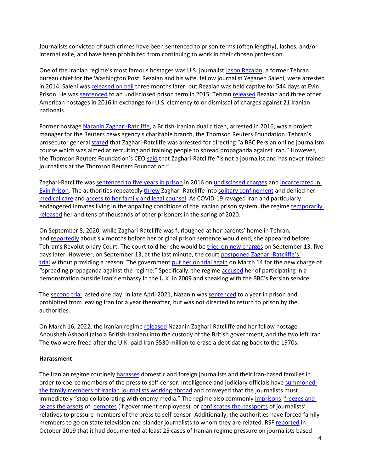Journalists convicted of such crimes have been sentenced to prison terms (often lengthy), lashes, and/or internal exile, and have been prohibited from continuing to work in their chosen profession.

One of the Iranian regime's most famous hostages was U.S. journalist [Jason Rezaian,](https://www.theguardian.com/media/2019/feb/18/reporter-jason-rezaian-on-544-days-in-iranian-jail-they-never-touched-me-but-i-was-tortured) a former Tehran bureau chief for the Washington Post. Rezaian and his wife, fellow journalist Yeganeh Salehi, were arrested in 2014. Salehi was [released on bail](https://www.washingtonpost.com/world/europe/jason-rezaians-wife-mother-describe-their-torturous-final-hours-in-iran/2016/01/21/be787310-bfad-11e5-98c8-7fab78677d51_story.html) three months later, but Rezaian was held captive for 544 days at Evin Prison. He was [sentenced](https://www.theguardian.com/world/2015/oct/12/jason-rezaian-convicted-iran-trial-washington-post) to an undisclosed prison term in 2015. Tehran [released](https://www.washingtonpost.com/world/europe/jason-rezaians-wife-mother-describe-their-torturous-final-hours-in-iran/2016/01/21/be787310-bfad-11e5-98c8-7fab78677d51_story.html) Rezaian and three other American hostages in 2016 in exchange for U.S. clemency to or dismissal of charges against 21 Iranian nationals.

Former hostage [Nazanin Zaghari-Ratcliffe,](https://www.unitedagainstnucleariran.com/people/nazanin-zaghari-ratcliffe) a British-Iranian dual citizen, arrested in 2016, was a project manager for the Reuters news agency's charitable branch, the Thomson Reuters Foundation. Tehran's prosecutor general [stated](https://www.theguardian.com/politics/2017/nov/06/boris-johnson-mistake-could-harm-case-for-nazanin-zaghari-ratcliffe-say-family) that Zaghari-Ratcliffe was arrested for directing "a BBC Persian online journalism course which was aimed at recruiting and training people to spread propaganda against Iran." However, the Thomson Reuters Foundation's CEO [said](https://www.telegraph.co.uk/news/2017/11/06/boris-johnson-mistake-risks-fresh-prison-term-iran-nazanin-zaghari/) that Zaghari-Ratcliffe "is not a journalist and has never trained journalists at the Thomson Reuters Foundation."

Zaghari-Ratcliffe was [sentenced to five years in prison](https://www.theguardian.com/world/2016/sep/09/british-iranian-woman-jailed-five-years-in-iran-nazanin-zaghari-ratcliffe) in 2016 on [undisclosed charges](https://www.bbc.com/news/uk-37321030) and [incarcerated](https://www.theguardian.com/news/2019/jul/22/nazanin-zaghari-ratcliffe-has-returned-to-jail-says-husband) in [Evin Prison.](https://www.theguardian.com/news/2019/jul/22/nazanin-zaghari-ratcliffe-has-returned-to-jail-says-husband) The authorities repeatedly [threw](https://www.theguardian.com/world/2017/jan/02/british-woman-nazanin-zaghari-ratcliffe-jailed-in-iran-released-from-solitary-confinement) Zaghari-Ratcliffe into [solitary confinement](https://www.telegraph.co.uk/news/2019/07/22/nazanin-zaghari-ratcliffe-back-prison-torture-mental-health/) and denied her [medical care](https://edition.cnn.com/2019/01/14/uk/nazanin-zaghari-ratcliffe-hunger-strike-gbr-intl/index.html) an[d access to her family and legal counsel.](https://www.amnesty.org/download/Documents/MDE1340682016ENGLISH.pdf) As COVID-19 ravaged Iran and particularly endangered inmates living in the appalling conditions of the Iranian prison system, the regime temporarily [released](https://www.theguardian.com/news/2020/mar/17/nazanin-zaghari-ratcliffe-freed-temporarily-from-iranian-prison?fbclid=IwAR0e5yZIR_-ffRd_viU5ReIqe-rj98LkCYNRUThlWtXhEoH2Y_0jdoRNs1I) her and tens of thousands of other prisoners in the spring of 2020.

On September 8, 2020, while Zaghari-Ratcliffe was furloughed at her parents' home in Tehran, and [reportedly](https://www.theguardian.com/news/2020/sep/08/nazanin-zaghari-ratcliffe-faces-new-charge-iranian-media-reports) about six months before her original prison sentence would end, she appeared before Tehran's Revolutionary Court. The court told her she would be [tried on new charges](https://www.bbc.com/news/uk-54076857) on September 13, five days later. However, on September 13, at the last minute, the court [postponed Zaghari-Ratcliffe's](https://www.theguardian.com/news/2020/sep/13/iran-postpones-nazanin-zaghari-ratcliffe-trial-at-last-minute)  [trial](https://www.theguardian.com/news/2020/sep/13/iran-postpones-nazanin-zaghari-ratcliffe-trial-at-last-minute) without providing a reason. The government [put her on trial again](https://apnews.com/article/europe-dubai-iran-united-arab-emirates-london-240c923f3e6ba8c266a531f96a9714d3) on March 14 for the new charge of "spreading propaganda against the regime." Specifically, the regime [accused](https://www.bbc.com/news/uk-56390394) her of participating in a demonstration outside Iran's embassy in the U.K. in 2009 and speaking with the BBC's Persian service.

The [second trial](https://apnews.com/article/europe-dubai-iran-united-arab-emirates-london-240c923f3e6ba8c266a531f96a9714d3) lasted one day. In late April 2021, Nazanin was [sentenced](https://www.reuters.com/world/uk/iran-sentences-british-iranian-aid-worker-one-year-jail-emtedad-website-2021-04-26/) to a year in prison and prohibited from leaving Iran for a year thereafter, but was not directed to return to prison by the authorities.

On March 16, 2022, the Iranian regime [released](https://www.reuters.com/world/two-detained-british-iranians-way-airport-leave-iran-lawyer-2022-03-16/) Nazanin Zaghari-Ratcliffe and her fellow hostage Anousheh Ashoori (also a British-Iranian) into the custody of the British government, and the two left Iran. The two were freed after the U.K. paid Iran \$530 million to erase a debt dating back to the 1970s.

#### <span id="page-3-0"></span>**Harassment**

The Iranian regime routinely [harasses](https://www.state.gov/reports/2019-country-reports-on-human-rights-practices/iran/) domestic and foreign journalists and their Iran-based families in order to coerce members of the press to self-censor. Intelligence and judiciary officials have [summoned](https://rsf.org/en/news/how-iran-tries-control-news-coverage-foreign-based-journalists)  [the family members of Iranian journalists working abroad](https://rsf.org/en/news/how-iran-tries-control-news-coverage-foreign-based-journalists) and conveyed that the journalists must immediately "stop collaborating with enemy media." The regime also commonly [imprisons,](https://rsf.org/en/news/relatives-iranian-journalists-taken-hostage-iran) [freezes and](https://www.state.gov/reports/2019-country-reports-on-human-rights-practices/iran/)  [seizes the assets](https://www.state.gov/reports/2019-country-reports-on-human-rights-practices/iran/) of[, demotes](https://www.state.gov/reports/2019-country-reports-on-human-rights-practices/iran/) (if government employees), o[r confiscates the passports](https://www.state.gov/reports/2019-country-reports-on-human-rights-practices/iran/) of journalists' relatives to pressure members of the press to self-censor. Additionally, the authorities have forced family members to go on state television and slander journalists to whom they are related. RSF [reported](https://rsf.org/en/news/relatives-iranian-journalists-taken-hostage-iran) in October 2019 that it had documented at least 25 cases of Iranian regime pressure on journalists based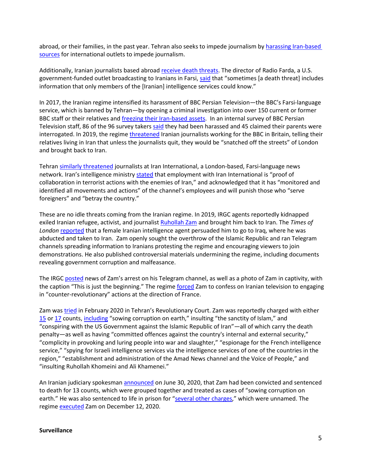abroad, or their families, in the past year. Tehran also seeks to impede journalism by [harassing Iran-based](https://rsf.org/en/news/how-iran-tries-control-news-coverage-foreign-based-journalists)  [sources](https://rsf.org/en/news/how-iran-tries-control-news-coverage-foreign-based-journalists) for international outlets to impede journalism.

Additionally, Iranian journalists based abroad [receive death threats.](https://rsf.org/en/news/how-iran-tries-control-news-coverage-foreign-based-journalists) The director of Radio Farda, a U.S. government-funded outlet broadcasting to Iranians in Farsi, [said](https://rsf.org/en/news/how-iran-tries-control-news-coverage-foreign-based-journalists) that "sometimes [a death threat] includes information that only members of the [Iranian] intelligence services could know."

In 2017, the Iranian regime intensified its harassment of BBC Persian Television—the BBC's Farsi-language service, which is banned by Tehran—by opening a criminal investigation into over 150 current or former BBC staff or their relatives and [freezing their Iran-based assets.](https://www.apnews.com/646c4dda7eb84702880d7e0effeb5346) In an internal survey of BBC Persian Television staff, 86 of the 96 survey takers [said](https://www.timesofisrael.com/bbc-details-new-harassment-of-persian-service-staff-by-iran/) they had been harassed and 45 claimed their parents were interrogated. In 2019, the regime *threatened* Iranian journalists working for the BBC in Britain, telling their relatives living in Iran that unless the journalists quit, they would be "snatched off the streets" of London and brought back to Iran.

Tehran [similarly threatened](https://www.thetimes.co.uk/article/iran-threatens-to-snatch-farsi-reporters-from-british-soil-5vqk7rq7v) journalists at Iran International, a London-based, Farsi-language news network. Iran's intelligence ministry [stated](https://en.radiofarda.com/a/rouhani-advisor-threatens-iranian-journalists-over-coverage-of-plane-crash/30369976.html) that employment with Iran International is "proof of collaboration in terrorist actions with the enemies of Iran," and acknowledged that it has "monitored and identified all movements and actions" of the channel's employees and will punish those who "serve foreigners" and "betray the country."

These are no idle threats coming from the Iranian regime. In 2019, IRGC agents reportedly kidnapped exiled Iranian refugee, activist, and journalist [Ruhollah Zam](https://www.unitedagainstnucleariran.com/people/ruhollah-zam) and brought him back to Iran. The *Times of London* [reported](https://www.thetimes.co.uk/article/honeytrap-snares-iranian-dissident-amid-prisoner-swap-rumours-pkl5zqqj2) that a female Iranian intelligence agent persuaded him to go to Iraq, where he was abducted and taken to Iran. Zam openly sought the overthrow of the Islamic Republic and ran Telegram channels spreading information to Iranians protesting the regime and encouraging viewers to join demonstrations. He also published controversial materials undermining the regime, including documents revealing government corruption and malfeasance.

The IRGC [posted](https://www.tehrantimes.com/news/441326/Arrest-of-Ruhollah-Zam-astonished-foreign-intelligence-services) news of Zam's arrest on his Telegram channel, as well as a photo of Zam in captivity, with the caption "This is just the beginning." The regime [forced](https://www.thetimes.co.uk/article/honeytrap-snares-iranian-dissident-amid-prisoner-swap-rumours-pkl5zqqj2) Zam to confess on Iranian television to engaging in "counter-revolutionary" actions at the direction of France.

Zam was [tried](https://www.tasnimnews.com/en/news/2020/02/10/2200329/first-trial-session-of-ruhollah-zam-held-in-tehran) in February 2020 in Tehran's Revolutionary Court. Zam was reportedly charged with either [15](https://www.voanews.com/middle-east/iran-opposition-figure-faces-death-sentence) or [17](https://www.thetimes.co.uk/article/ruhollah-zam-journalist-who-vanished-goes-on-trial-in-iran-3slmkb855) counts[, including](https://journalismisnotacrime.com/en/news/3757/) "sowing corruption on earth," insulting "the sanctity of Islam," and "conspiring with the US Government against the Islamic Republic of Iran"—all of which carry the death penalty—as well as having "committed offences against the country's internal and external security," "complicity in provoking and luring people into war and slaughter," "espionage for the French intelligence service," "spying for Israeli intelligence services via the intelligence services of one of the countries in the region," "establishment and administration of the Amad News channel and the Voice of People," and "insulting Ruhollah Khomeini and Ali Khamenei."

An Iranian judiciary spokesman [announced](https://www.rferl.org/a/iranian-journalist-sentenced-to-death-for-role-in-protests/30698329.html) on June 30, 2020, that Zam had been convicted and sentenced to death for 13 counts, which were grouped together and treated as cases of "sowing corruption on earth." He was also sentenced to life in prison for ["several other charges,](https://web.archive.org/web/20210204012147/https:/www.presstv.com/Detail/2020/06/30/628572/Iran-Rouhollah-Zam-death-sentence)" which were unnamed. The regime [executed](https://www.bbc.com/news/world-middle-east-55285301) Zam on December 12, 2020.

#### <span id="page-4-0"></span>**Surveillance**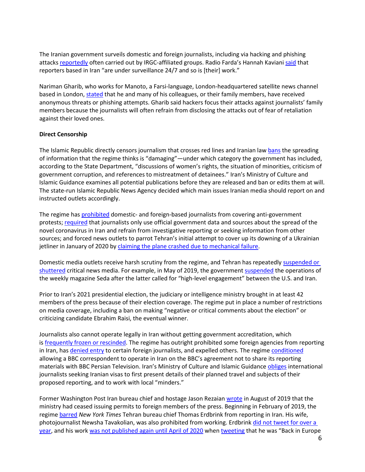The Iranian government surveils domestic and foreign journalists, including via hacking and phishing attacks [reportedly](https://cpj.org/reports/2018/05/on-the-table-rouhani-iran-press-journalists-jailed-censored-internet-policy.php) often carried out by IRGC-affiliated groups. Radio Farda's Hannah Kaviani [said](https://cpj.org/reports/2018/05/on-the-table-rouhani-iran-press-journalists-jailed-censored-internet-policy.php) that reporters based in Iran "are under surveillance 24/7 and so is [their] work."

Nariman Gharib, who works for Manoto, a Farsi-language, London-headquartered satellite news channel based in London, [stated](https://cpj.org/reports/2018/05/on-the-table-rouhani-iran-press-journalists-jailed-censored-internet-policy.php) that he and many of his colleagues, or their family members, have received anonymous threats or phishing attempts. Gharib said hackers focus their attacks against journalists' family members because the journalists will often refrain from disclosing the attacks out of fear of retaliation against their loved ones.

#### <span id="page-5-0"></span>**Direct Censorship**

The Islamic Republic directly censors journalism that crosses red lines and Iranian la[w bans](https://www.state.gov/reports/2021-country-reports-on-human-rights-practices/iran) the spreading of information that the regime thinks is "damaging"—under which category the government has included, according to the State Department, "discussions of women's rights, the situation of minorities, criticism of government corruption, and references to mistreatment of detainees." Iran's Ministry of Culture and Islamic Guidance examines all potential publications before they are released and ban or edits them at will. The state-run Islamic Republic News Agency decided which main issues Iranian media should report on and instructed outlets accordingly.

The regime has [prohibited](https://www.state.gov/reports/2018-country-reports-on-human-rights-practices/iran/) domestic- and foreign-based journalists from covering anti-government protests; [required](https://www.voanews.com/extremism-watch/iran-uses-arrests-censorship-silence-critical-covid-19-coverage) that journalists only use official government data and sources about the spread of the novel coronavirus in Iran and refrain from investigative reporting or seeking information from other sources; and forced news outlets to parrot Tehran's initial attempt to cover up its downing of a Ukrainian jetliner in January of 2020 by [claiming the plane crashed due to mechanical failure.](https://en.radiofarda.com/a/journalists-group-in-iran-condemns-state-media-role-in-plane-crash-coverup-/30376039.html)

Domestic media outlets receive harsh scrutiny from the regime, and Tehran has repeatedly suspended or [shuttered](https://cpj.org/reports/2018/05/on-the-table-rouhani-iran-press-journalists-jailed-censored-internet-policy.php) critical news media. For example, in May of 2019, the government [suspended](https://cpj.org/2019/05/iranian-reformist-magazine-seda-suspended-after-ur.php) the operations of the weekly magazine Seda after the latter called for "high-level engagement" between the U.S. and Iran.

Prior to Iran's 2021 presidential election, the judiciary or intelligence ministry brought in at least 42 members of the press because of their election coverage. The regime put in place a number of restrictions on media coverage, including a ban on making "negative or critical comments about the election" or criticizing candidate Ebrahim Raisi, the eventual winner.

Journalists also cannot operate legally in Iran without getting government accreditation, which is [frequently frozen or rescinded.](https://cpj.org/reports/2019/09/10-most-censored-eritrea-north-korea-turkmenistan-journalist.php) The regime has outright prohibited some foreign agencies from reporting in Iran, has [denied entry](https://cpj.org/reports/2018/05/on-the-table-rouhani-iran-press-journalists-jailed-censored-internet-policy.php) to certain foreign journalists, and expelled others. The regim[e conditioned](https://www.huffpost.com/entry/bbc-persian-iran-coverage-blackout_n_5d2d033be4b04927c1c89a1b) allowing a BBC correspondent to operate in Iran on the BBC's agreement not to share its reporting materials with BBC Persian Television. Iran's Ministry of Culture and Islamic Guidance [obliges](https://www.state.gov/reports/2019-country-reports-on-human-rights-practices/iran/) international journalists seeking Iranian visas to first present details of their planned travel and subjects of their proposed reporting, and to work with local "minders."

Former Washington Post Iran bureau chief and hostage Jason Rezaian [wrote](https://www.washingtonpost.com/opinions/2019/08/07/journalism-iran-nears-extinction/) in August of 2019 that the ministry had ceased issuing permits to foreign members of the press. Beginning in February of 2019, the regime [barred](https://www.nytimes.com/2019/06/10/world/middleeast/iran-times-erdbrink.html) *New York Times* Tehran bureau chief Thomas Erdbrink from reporting in Iran. His wife, photojournalist Newsha Tavakolian, was also prohibited from working. Erdbrink did not tweet for over a [year,](https://twitter.com/ThomasErdbrink/with_replies) and his work [was not published again until April of 2020](https://www.nytimes.com/by/thomas-erdbrink) whe[n tweeting](https://twitter.com/ThomasErdbrink/status/1252962958549925889) that he was "Back in Europe